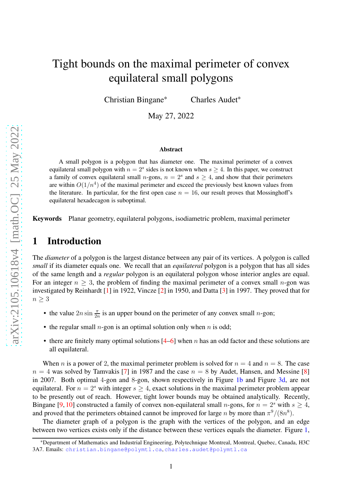# Tight bounds on the maximal perimeter of convex equilateral small polygons

Christian Bingane<sup>∗</sup> Charles Audet<sup>∗</sup>

May 27, 2022

#### **Abstract**

A small polygon is a polygon that has diameter one. The maximal perimeter of a convex equilateral small polygon with  $n = 2<sup>s</sup>$  sides is not known when  $s \ge 4$ . In this paper, we construct a family of convex equilateral small *n*-gons,  $n = 2<sup>s</sup>$  and  $s \ge 4$ , and show that their perimeters are within  $O(1/n^4)$  of the maximal perimeter and exceed the previously best known values from the literature. In particular, for the first open case  $n = 16$ , our result proves that Mossinghoff's equilateral hexadecagon is suboptimal.

**Keywords** Planar geometry, equilateral polygons, isodiametric problem, maximal perimeter

# **1 Introduction**

The *diameter* of a polygon is the largest distance between any pair of its vertices. A polygon is called *small* if its diameter equals one. We recall that an *equilateral* polygon is a polygon that has all sides of the same length and a *regular* polygon is an equilateral polygon whose interior angles are equal. For an integer  $n > 3$ , the problem of finding the maximal perimeter of a convex small n-gon was investigated by Reinhardt [\[1\]](#page-7-0) in 1922, Vincze [\[2\]](#page-8-0) in 1950, and Datta [\[3\]](#page-8-1) in 1997. They proved that for  $n \geq 3$ 

- the value  $2n \sin \frac{\pi}{2n}$  is an upper bound on the perimeter of any convex small *n*-gon;
- the regular small *n*-gon is an optimal solution only when *n* is odd;
- there are finitely many optimal solutions  $[4–6]$  $[4–6]$  when n has an odd factor and these solutions are all equilateral.

When n is a power of 2, the maximal perimeter problem is solved for  $n = 4$  and  $n = 8$ . The case  $n = 4$  was solved by Tamvakis [\[7\]](#page-8-4) in 1987 and the case  $n = 8$  by Audet, Hansen, and Messine [\[8\]](#page-8-5) in 2007. Both optimal 4-gon and 8-gon, shown respectively in Figure [1b](#page-1-0) and Figure [3d,](#page-2-0) are not equilateral. For  $n = 2<sup>s</sup>$  with integer  $s > 4$ , exact solutions in the maximal perimeter problem appear to be presently out of reach. However, tight lower bounds may be obtained analytically. Recently, Bingane [\[9,](#page-8-6) [10\]](#page-8-7) constructed a family of convex non-equilateral small *n*-gons, for  $n = 2<sup>s</sup>$  with  $s \ge 4$ , and proved that the perimeters obtained cannot be improved for large n by more than  $\pi^9/(8n^8)$ .

The diameter graph of a polygon is the graph with the vertices of the polygon, and an edge between two vertices exists only if the distance between these vertices equals the diameter. Figure [1,](#page-1-1)

<sup>∗</sup>Department of Mathematics and Industrial Engineering, Polytechnique Montreal, Montreal, Quebec, Canada, H3C 3A7. Emails: <christian.bingane@polymtl.ca>, <charles.audet@polymtl.ca>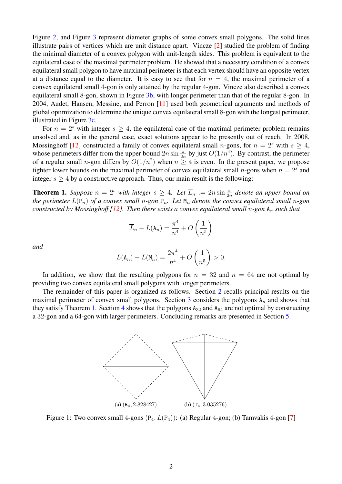Figure [2,](#page-2-1) and Figure [3](#page-2-2) represent diameter graphs of some convex small polygons. The solid lines illustrate pairs of vertices which are unit distance apart. Vincze [\[2\]](#page-8-0) studied the problem of finding the minimal diameter of a convex polygon with unit-length sides. This problem is equivalent to the equilateral case of the maximal perimeter problem. He showed that a necessary condition of a convex equilateral small polygon to have maximal perimeter is that each vertex should have an opposite vertex at a distance equal to the diameter. It is easy to see that for  $n = 4$ , the maximal perimeter of a convex equilateral small 4-gon is only attained by the regular 4-gon. Vincze also described a convex equilateral small 8-gon, shown in Figure [3b,](#page-2-3) with longer perimeter than that of the regular 8-gon. In 2004, Audet, Hansen, Messine, and Perron [\[11\]](#page-8-8) used both geometrical arguments and methods of global optimization to determine the unique convex equilateral small 8-gon with the longest perimeter, illustrated in Figure [3c.](#page-2-4)

For  $n = 2<sup>s</sup>$  with integer  $s \geq 4$ , the equilateral case of the maximal perimeter problem remains unsolved and, as in the general case, exact solutions appear to be presently out of reach. In 2008, Mossinghoff [\[12\]](#page-9-0) constructed a family of convex equilateral small *n*-gons, for  $n = 2<sup>s</sup>$  with  $s \ge 4$ , whose perimeters differ from the upper bound  $2n \sin \frac{\pi}{2n}$  by just  $O(1/n^4)$ . By contrast, the perimeter of a regular small *n*-gon differs by  $O(1/n^2)$  when  $n \geq 4$  is even. In the present paper, we propose tighter lower bounds on the maximal perimeter of convex equilateral small *n*-gons when  $n = 2<sup>s</sup>$  and integer  $s \geq 4$  by a constructive approach. Thus, our main result is the following:

<span id="page-1-2"></span>**Theorem 1.** *Suppose*  $n = 2^s$  *with integer*  $s \geq 4$ *. Let*  $\overline{L}_n := 2n \sin \frac{\pi}{2n}$  *denote an upper bound on the perimeter*  $L(P_n)$  *of a convex small* n-gon  $P_n$ . Let  $M_n$  *denote the convex equilateral small* n-gon *constructed by Mossinghoff [\[12\]](#page-9-0). Then there exists a convex equilateral small* n-gon  $A_n$  *such that* 

$$
\overline{L}_n - L(\mathbf{A}_n) = \frac{\pi^4}{n^4} + O\left(\frac{1}{n^5}\right)
$$

*and*

$$
L(\mathbf{A}_n) - L(\mathbf{M}_n) = \frac{2\pi^4}{n^4} + O\left(\frac{1}{n^5}\right) > 0.
$$

In addition, we show that the resulting polygons for  $n = 32$  and  $n = 64$  are not optimal by providing two convex equilateral small polygons with longer perimeters.

<span id="page-1-1"></span>The remainder of this paper is organized as follows. Section [2](#page-2-5) recalls principal results on the maximal perimeter of convex small polygons. Section  $3$  considers the polygons  $A_n$  and shows that they satisfy Theorem [1.](#page-1-2) Section [4](#page-6-0) shows that the polygons  $A_{32}$  and  $A_{64}$  are not optimal by constructing a 32-gon and a 64-gon with larger perimeters. Concluding remarks are presented in Section [5.](#page-7-1)

<span id="page-1-0"></span>

Figure 1: Two convex small 4-gons  $(P_4, L(P_4))$ : (a) Regular 4-gon; (b) Tamvakis 4-gon [\[7\]](#page-8-4)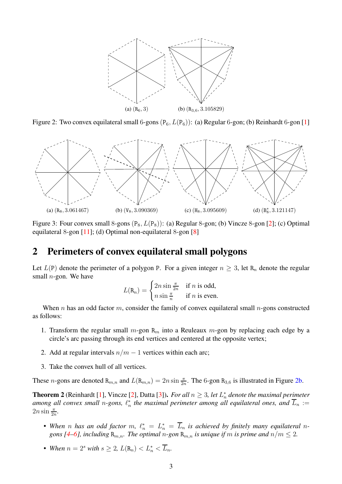<span id="page-2-6"></span><span id="page-2-1"></span>

<span id="page-2-2"></span>Figure 2: Two convex equilateral small 6-gons  $(P_6, L(P_6))$ : (a) Regular 6-gon; (b) Reinhardt 6-gon [\[1\]](#page-7-0)



<span id="page-2-3"></span>Figure 3: Four convex small 8-gons  $(P_8, L(P_8))$ : (a) Regular 8-gon; (b) Vincze 8-gon [\[2\]](#page-8-0); (c) Optimal equilateral 8-gon [\[11\]](#page-8-8); (d) Optimal non-equilateral 8-gon [\[8\]](#page-8-5)

### <span id="page-2-5"></span>**2 Perimeters of convex equilateral small polygons**

Let  $L(P)$  denote the perimeter of a polygon P. For a given integer  $n \geq 3$ , let R<sub>n</sub> denote the regular small  $n$ -gon. We have

<span id="page-2-4"></span><span id="page-2-0"></span>
$$
L(\mathtt{R}_n) = \begin{cases} 2n \sin \frac{\pi}{2n} & \text{if } n \text{ is odd,} \\ n \sin \frac{\pi}{n} & \text{if } n \text{ is even.} \end{cases}
$$

When n has an odd factor m, consider the family of convex equilateral small n-gons constructed as follows:

- 1. Transform the regular small  $m$ -gon  $R_m$  into a Reuleaux  $m$ -gon by replacing each edge by a circle's arc passing through its end vertices and centered at the opposite vertex;
- 2. Add at regular intervals  $n/m 1$  vertices within each arc;
- 3. Take the convex hull of all vertices.

These *n*-gons are denoted  $R_{m,n}$  and  $L(R_{m,n}) = 2n \sin \frac{\pi}{2n}$ . The 6-gon  $R_{3,6}$  is illustrated in Figure [2b.](#page-2-6)

**Theorem 2** (Reinhardt [\[1\]](#page-7-0), Vincze [\[2\]](#page-8-0), Datta [\[3\]](#page-8-1)). *For all*  $n \geq 3$ , let  $L_n^*$ n *denote the maximal perimeter among all convex small* n*-gons,* ℓ ∗  $^*_n$  the maximal perimeter among all equilateral ones, and  $L_n :=$  $2n \sin \frac{\pi}{2n}$ .

- When *n* has an odd factor  $m$ ,  $\ell_n^* = L_n^* = \overline{L}_n$  is achieved by finitely many equilateral *ngons* [\[4](#page-8-2)[–6\]](#page-8-3), including  $\mathbb{R}_{m,n}$ . The optimal n-gon  $\mathbb{R}_{m,n}$  *is unique if* m *is prime and*  $n/m \leq 2$ .
- When  $n = 2^s$  with  $s \geq 2$ ,  $L(\mathbf{R}_n) < L_n^* < \overline{L}_n$ .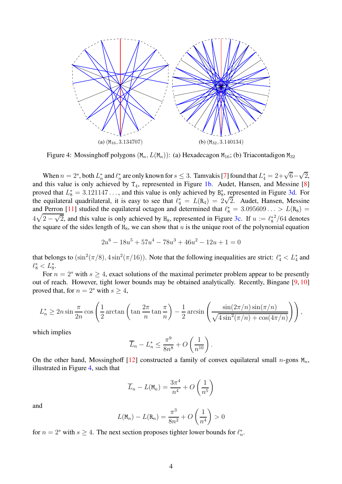<span id="page-3-0"></span>

Figure 4: Mossinghoff polygons  $(M_n, L(M_n))$ : (a) Hexadecagon  $M_{16}$ ; (b) Triacontadigon  $M_{32}$ 

When  $n = 2<sup>s</sup>$ , both  $L_n^*$  $\frac{1}{n}$  and  $\ell_n^*$ \* are only known for  $s \leq 3$ . Tamvakis [\[7\]](#page-8-4) found that  $L_4^* = 2 + \sqrt{6} - \sqrt{2}$ , and this value is only achieved by  $T_4$ , represented in Figure [1b.](#page-1-0) Audet, Hansen, and Messine [\[8\]](#page-8-5) proved that  $L_8^* = 3.121147...$ , and this value is only achieved by  $B_8^*$ <sup>\*</sup><sub>8</sub>, represented in Figure [3d.](#page-2-0) For the equilateral quadrilateral, it is easy to see that  $\ell_4^* = L(\mathbf{R}_4) = 2\sqrt{2}$ . Audet, Hansen, Messine and Perron [\[11\]](#page-8-8) studied the equilateral octagon and determined that  $\ell_8^* = 3.095609... > L(R_8)$  $4\sqrt{2-\sqrt{2}}$ , and this value is only achieved by H<sub>8</sub>, represented in Figure [3c.](#page-2-4) If  $u := \ell_8^*$ 8  $^{2}/64$  denotes the square of the sides length of  $H_8$ , we can show that u is the unique root of the polynomial equation

$$
2u^6 - 18u^5 + 57u^4 - 78u^3 + 46u^2 - 12u + 1 = 0
$$

that belongs to  $(\sin^2(\pi/8), 4\sin^2(\pi/16))$ . Note that the following inequalities are strict:  $\ell_4^* < L_4^*$  and  $\ell_8^* < L_8^*.$ 

For  $n = 2<sup>s</sup>$  with  $s \geq 4$ , exact solutions of the maximal perimeter problem appear to be presently out of reach. However, tight lower bounds may be obtained analytically. Recently, Bingane [\[9,](#page-8-6) [10\]](#page-8-7) proved that, for  $n = 2<sup>s</sup>$  with  $s \ge 4$ ,

$$
L_n^* \ge 2n \sin \frac{\pi}{2n} \cos \left( \frac{1}{2} \arctan \left( \tan \frac{2\pi}{n} \tan \frac{\pi}{n} \right) - \frac{1}{2} \arcsin \left( \frac{\sin(2\pi/n) \sin(\pi/n)}{\sqrt{4 \sin^2(\pi/n) + \cos(4\pi/n)}} \right) \right),
$$

which implies

$$
\overline{L}_n - L_n^* \le \frac{\pi^9}{8n^8} + O\left(\frac{1}{n^{10}}\right).
$$

On the other hand, Mossinghoff [\[12\]](#page-9-0) constructed a family of convex equilateral small n-gons  $M_n$ , illustrated in Figure [4,](#page-3-0) such that

$$
\overline{L}_n - L(\mathbf{M}_n) = \frac{3\pi^4}{n^4} + O\left(\frac{1}{n^5}\right)
$$

and

$$
L(\mathsf{M}_n) - L(\mathsf{R}_n) = \frac{\pi^3}{8n^2} + O\left(\frac{1}{n^4}\right) > 0
$$

for  $n = 2<sup>s</sup>$  with  $s \ge 4$ . The next section proposes tighter lower bounds for  $\ell_n^*$  $\frac{*}{n}$ .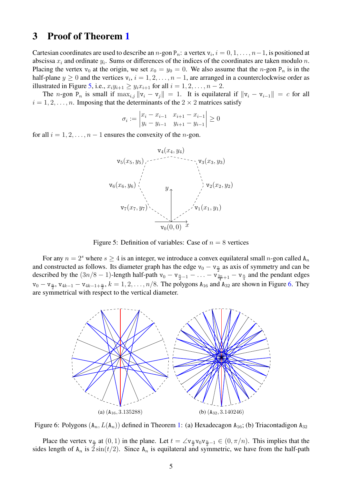# <span id="page-4-0"></span>**3 Proof of Theorem [1](#page-1-2)**

Cartesian coordinates are used to describe an n-gon  $P_n$ : a vertex  $v_i$ ,  $i = 0, 1, ..., n-1$ , is positioned at abscissa  $x_i$  and ordinate  $y_i$ . Sums or differences of the indices of the coordinates are taken modulo n. Placing the vertex  $v_0$  at the origin, we set  $x_0 = y_0 = 0$ . We also assume that the n-gon  $P_n$  is in the half-plane  $y \ge 0$  and the vertices  $v_i$ ,  $i = 1, 2, ..., n - 1$ , are arranged in a counterclockwise order as illustrated in Figure [5,](#page-4-1) i.e.,  $x_i y_{i+1} \geq y_i x_{i+1}$  for all  $i = 1, 2, \ldots, n - 2$ .

The n-gon P<sub>n</sub> is small if  $\max_{i,j} ||v_i - v_j|| = 1$ . It is equilateral if  $||v_i - v_{i-1}|| = c$  for all  $i = 1, 2, \dots, n$ . Imposing that the determinants of the  $2 \times 2$  matrices satisfy

$$
\sigma_i := \begin{vmatrix} x_i - x_{i-1} & x_{i+1} - x_{i-1} \\ y_i - y_{i-1} & y_{i+1} - y_{i-1} \end{vmatrix} \ge 0
$$

<span id="page-4-1"></span>for all  $i = 1, 2, \ldots, n - 1$  ensures the convexity of the *n*-gon.



Figure 5: Definition of variables: Case of  $n = 8$  vertices

For any  $n = 2<sup>s</sup>$  where  $s \ge 4$  is an integer, we introduce a convex equilateral small n-gon called  $A_n$ and constructed as follows. Its diameter graph has the edge  $v_0 - v_{\frac{n}{2}}$  as axis of symmetry and can be described by the  $(3n/8 - 1)$ -length half-path  $v_0 - v_{\frac{n}{2}-1} - \ldots - v_{\frac{3n}{4}+1} - v_{\frac{n}{4}}$  and the pendant edges  $v_0 - v_{\frac{n}{2}}$ ,  $v_{4k-1} - v_{4k-1+\frac{n}{2}}$ ,  $k = 1, 2, ..., n/8$ . The polygons  $A_{16}$  and  $A_{32}$  are shown in Figure [6.](#page-4-2) They are symmetrical with respect to the vertical diameter.

<span id="page-4-2"></span>

Figure 6: Polygons  $(A_n, L(A_n))$  defined in Theorem [1:](#page-1-2) (a) Hexadecagon  $A_{16}$ ; (b) Triacontadigon  $A_{32}$ 

Place the vertex  $v_{\frac{n}{2}}$  at  $(0, 1)$  in the plane. Let  $t = \angle v_{\frac{n}{2}}v_0v_{\frac{n}{2}-1} \in (0, \pi/n)$ . This implies that the sides length of  $A_n$  is  $2\sin(t/2)$ . Since  $A_n$  is equilateral and symmetric, we have from the half-path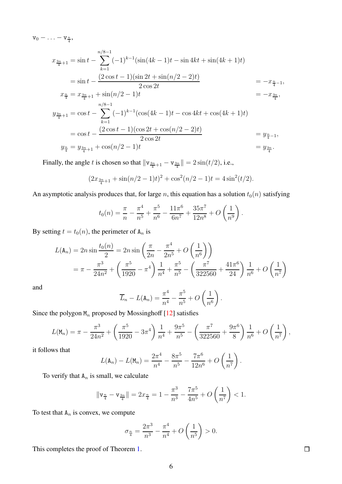$v_0 - \ldots - v_{\frac{n}{4}},$ 

$$
x_{\frac{3n}{4}+1} = \sin t - \sum_{k=1}^{n/8-1} (-1)^{k-1} (\sin(4k-1)t - \sin 4kt + \sin(4k+1)t)
$$
  
\n
$$
= \sin t - \frac{(2 \cos t - 1)(\sin 2t + \sin(n/2 - 2)t)}{2 \cos 2t} = -x_{\frac{n}{4}-1},
$$
  
\n
$$
x_{\frac{n}{4}} = x_{\frac{3n}{4}+1} + \sin(n/2 - 1)t = -x_{\frac{3n}{4}},
$$
  
\n
$$
y_{\frac{3n}{4}+1} = \cos t - \sum_{k=1}^{n/8-1} (-1)^{k-1} (\cos(4k-1)t - \cos 4kt + \cos(4k+1)t)
$$
  
\n
$$
= \cos t - \frac{(2 \cos t - 1)(\cos 2t + \cos(n/2 - 2)t)}{2 \cos 2t} = y_{\frac{n}{4}-1},
$$
  
\n
$$
y_{\frac{n}{4}} = y_{\frac{3n}{4}+1} + \cos(n/2 - 1)t = y_{\frac{3n}{4}}.
$$

Finally, the angle t is chosen so that  $\|\mathbf{v}_{\frac{3n}{4}+1} - \mathbf{v}_{\frac{3n}{4}}\| = 2\sin(t/2)$ , i.e.,

$$
(2x_{\frac{3n}{4}+1} + \sin(n/2 - 1)t)^2 + \cos^2(n/2 - 1)t = 4\sin^2(t/2).
$$

An asymptotic analysis produces that, for large n, this equation has a solution  $t_0(n)$  satisfying

$$
t_0(n) = \frac{\pi}{n} - \frac{\pi^4}{n^5} + \frac{\pi^5}{n^6} - \frac{11\pi^6}{6n^7} + \frac{35\pi^7}{12n^8} + O\left(\frac{1}{n^9}\right).
$$

By setting  $t = t_0(n)$ , the perimeter of  $A_n$  is

$$
L(\mathbf{A}_n) = 2n \sin \frac{t_0(n)}{2} = 2n \sin \left(\frac{\pi}{2n} - \frac{\pi^4}{2n^5} + O\left(\frac{1}{n^6}\right)\right)
$$
  
=  $\pi - \frac{\pi^3}{24n^2} + \left(\frac{\pi^5}{1920} - \pi^4\right) \frac{1}{n^4} + \frac{\pi^5}{n^5} - \left(\frac{\pi^7}{322560} + \frac{41\pi^6}{24}\right) \frac{1}{n^6} + O\left(\frac{1}{n^7}\right)$ 

and

$$
\overline{L}_n - L(\mathbf{A}_n) = \frac{\pi^4}{n^4} - \frac{\pi^5}{n^5} + O\left(\frac{1}{n^6}\right).
$$

Since the polygon  $M_n$  proposed by Mossinghoff [\[12\]](#page-9-0) satisfies

$$
L(\mathsf{M}_n) = \pi - \frac{\pi^3}{24n^2} + \left(\frac{\pi^5}{1920} - 3\pi^4\right) \frac{1}{n^4} + \frac{9\pi^5}{n^5} - \left(\frac{\pi^7}{322560} + \frac{9\pi^6}{8}\right) \frac{1}{n^6} + O\left(\frac{1}{n^7}\right),
$$

it follows that

$$
L(\mathbf{A}_n) - L(\mathbf{M}_n) = \frac{2\pi^4}{n^4} - \frac{8\pi^5}{n^5} - \frac{7\pi^6}{12n^6} + O\left(\frac{1}{n^7}\right).
$$

To verify that  $A_n$  is small, we calculate

$$
\|\mathbf{v}_{\frac{n}{4}} - \mathbf{v}_{\frac{3n}{4}}\| = 2x_{\frac{n}{4}} = 1 - \frac{\pi^3}{n^3} - \frac{7\pi^5}{4n^5} + O\left(\frac{1}{n^7}\right) < 1.
$$

To test that  $A_n$  is convex, we compute

$$
\sigma_{\frac{n}{4}} = \frac{2\pi^3}{n^3} - \frac{\pi^4}{n^4} + O\left(\frac{1}{n^5}\right) > 0.
$$

This completes the proof of Theorem [1.](#page-1-2)

 $\Box$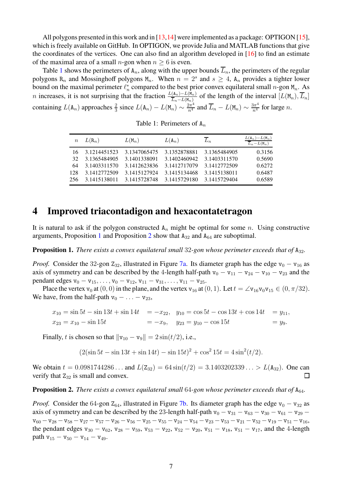All polygons presented in this work and in [\[13,](#page-9-1)[14\]](#page-9-2) were implemented as a package: OPTIGON [\[15\]](#page-9-3), which is freely available on GitHub. In OPTIGON, we provide Julia and MATLAB functions that give the coordinates of the vertices. One can also find an algorithm developed in [\[16\]](#page-9-4) to find an estimate of the maximal area of a small n-gon when  $n > 6$  is even.

<span id="page-6-1"></span>Table [1](#page-6-1) shows the perimeters of  $A_n$ , along with the upper bounds  $\overline{L}_n$ , the perimeters of the regular polygons R<sub>n</sub> and Mossinghoff polygons M<sub>n</sub>. When  $n = 2<sup>s</sup>$  and  $s \ge 4$ , A<sub>n</sub> provides a tighter lower bound on the maximal perimeter  $\ell_n^*$  compared to the best prior convex equilateral small n-gon  $M_n$ . As bound on the maximal permitter  $\ell_n$  compared to the best prior convex equinateral small  $h$ -gon  $n_n$ . As<br>n increases, it is not surprising that the fraction  $\frac{L(\mathbf{A}_n) - L(\mathbf{M}_n)}{\overline{L}_n - L(\mathbf{M}_n)}$  of the length of the containing  $L(A_n)$  approaches  $\frac{2}{3}$  since  $L(A_n) - L(M_n) \sim \frac{2\pi^4}{n^4}$  and  $\overline{L}_n - L(M_n) \sim \frac{3\pi^4}{n^4}$  for large n.

Table 1: Perimeters of  $A_n$ 

| $\boldsymbol{n}$ | $L(R_n)$     | $L(M_n)$     | $L(A_n)$     | $\overline{L}_n$ | $\frac{L(\mathbf{A}_n)-L(\mathbf{M}_n)}{L_n-L(\mathbf{M}_n)}$ |
|------------------|--------------|--------------|--------------|------------------|---------------------------------------------------------------|
| 16.              | 3.1214451523 | 3.1347065475 | 3.1352878881 | 3.1365484905     | 0.3156                                                        |
| 32               | 3.1365484905 | 3.1401338091 | 3.1402460942 | 3.1403311570     | 0.5690                                                        |
| 64               | 3.1403311570 | 3.1412623836 | 3.1412717079 | 3.1412772509     | 0.6272                                                        |
| 128              | 3.1412772509 | 3.1415127924 | 3.1415134468 | 3.1415138011     | 0.6487                                                        |
| 256              | 3.1415138011 | 3.1415728748 | 3.1415729180 | 3.1415729404     | 0.6589                                                        |

#### <span id="page-6-0"></span>**4 Improved triacontadigon and hexacontatetragon**

It is natural to ask if the polygon constructed  $A_n$  might be optimal for some n. Using constructive arguments, Proposition [1](#page-6-2) and Proposition [2](#page-6-3) show that  $A_{32}$  and  $A_{64}$  are suboptimal.

<span id="page-6-2"></span>**Proposition 1.** *There exists a convex equilateral small* 32-gon whose perimeter exceeds that of A<sub>32</sub>.

*Proof.* Consider the 32-gon  $Z_{32}$ , illustrated in Figure [7a.](#page-8-9) Its diameter graph has the edge  $v_0 - v_{16}$  as axis of symmetry and can be described by the 4-length half-path  $v_0 - v_{11} - v_{24} - v_{10} - v_{23}$  and the pendant edges  $v_0 - v_{15}, \ldots, v_0 - v_{12}, v_{11} - v_{31}, \ldots, v_{11} - v_{25}.$ 

Place the vertex  $v_0$  at  $(0, 0)$  in the plane, and the vertex  $v_{16}$  at  $(0, 1)$ . Let  $t = \angle v_{16}v_0v_{15} \in (0, \pi/32)$ . We have, from the half-path  $v_0 - \ldots - v_{23}$ ,

$$
x_{10} = \sin 5t - \sin 13t + \sin 14t = -x_{22}, \quad y_{10} = \cos 5t - \cos 13t + \cos 14t = y_{11},
$$
  

$$
x_{23} = x_{10} - \sin 15t = -x_9, \quad y_{23} = y_{10} - \cos 15t = y_9.
$$

Finally, t is chosen so that  $\|v_{10} - v_9\| = 2 \sin(t/2)$ , i.e.,

$$
(2(\sin 5t - \sin 13t + \sin 14t) - \sin 15t)^{2} + \cos^{2} 15t = 4\sin^{2}(t/2).
$$

We obtain  $t = 0.0981744286...$  and  $L(Z_{32}) = 64 \sin(t/2) = 3.1403202339... > L(A_{32}).$  One can verify that  $Z_{32}$  is small and convex.  $\Box$ 

<span id="page-6-3"></span>**Proposition 2.** *There exists a convex equilateral small* 64*-gon whose perimeter exceeds that of*  $A_{64}$ *.* 

*Proof.* Consider the 64-gon  $Z_{64}$ , illustrated in Figure [7b.](#page-8-10) Its diameter graph has the edge  $v_0 - v_{32}$  as axis of symmetry and can be described by the 23-length half-path  $v_0 - v_{31} - v_{63} - v_{30} - v_{61} - v_{29} {\mathtt v}_{60} -{\mathtt v}_{28} -{\mathtt v}_{58} -{\mathtt v}_{27} -{\mathtt v}_{57} -{\mathtt v}_{26} -{\mathtt v}_{56} -{\mathtt v}_{25} -{\mathtt v}_{55} -{\mathtt v}_{24} -{\mathtt v}_{54} -{\mathtt v}_{23} -{\mathtt v}_{53} -{\mathtt v}_{21} -{\mathtt v}_{52} -{\mathtt v}_{19} -{\mathtt v}_{51} -{\mathtt v}_{16},$ the pendant edges  $v_{30} - v_{62}$ ,  $v_{28} - v_{59}$ ,  $v_{53} - v_{22}$ ,  $v_{52} - v_{20}$ ,  $v_{51} - v_{18}$ ,  $v_{51} - v_{17}$ , and the 4-length path  $v_{15} - v_{50} - v_{14} - v_{49}$ .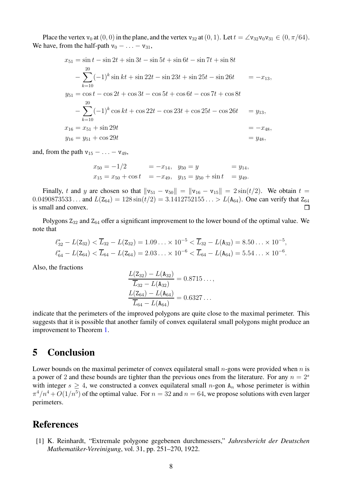Place the vertex  $v_0$  at  $(0, 0)$  in the plane, and the vertex  $v_{32}$  at  $(0, 1)$ . Let  $t = \angle v_{32}v_0v_{31} \in (0, \pi/64)$ . We have, from the half-path  $v_0 - \ldots - v_{31}$ ,

$$
x_{51} = \sin t - \sin 2t + \sin 3t - \sin 5t + \sin 6t - \sin 7t + \sin 8t
$$
  
\n
$$
-\sum_{k=10}^{20} (-1)^k \sin kt + \sin 22t - \sin 23t + \sin 25t - \sin 26t = -x_{13},
$$
  
\n
$$
y_{51} = \cos t - \cos 2t + \cos 3t - \cos 5t + \cos 6t - \cos 7t + \cos 8t
$$
  
\n
$$
-\sum_{k=10}^{20} (-1)^k \cos kt + \cos 22t - \cos 23t + \cos 25t - \cos 26t = y_{13},
$$
  
\n
$$
x_{16} = x_{51} + \sin 29t = -x_{48},
$$
  
\n
$$
y_{16} = y_{51} + \cos 29t = y_{48},
$$

and, from the path  $v_{15} - \ldots - v_{49}$ ,

$$
x_{50} = -1/2
$$
 =  $-x_{14}$ ,  $y_{50} = y$  =  $y_{14}$ ,  
\n $x_{15} = x_{50} + \cos t$  =  $-x_{49}$ ,  $y_{15} = y_{50} + \sin t$  =  $y_{49}$ .

Finally, t and y are chosen so that  $\|v_{51} - v_{50}\| = \|v_{16} - v_{15}\| = 2 \sin(t/2)$ . We obtain  $t =$  $0.0490873533...$  and  $L(\mathbb{Z}_{64}) = 128 \sin(t/2) = 3.1412752155... > L(\mathbb{A}_{64})$ . One can verify that  $\mathbb{Z}_{64}$ is small and convex.  $\Box$ 

Polygons  $Z_{32}$  and  $Z_{64}$  offer a significant improvement to the lower bound of the optimal value. We note that

$$
\ell_{32}^* - L(\mathbf{Z}_{32}) < \overline{L}_{32} - L(\mathbf{Z}_{32}) = 1.09 \ldots \times 10^{-5} < \overline{L}_{32} - L(\mathbf{A}_{32}) = 8.50 \ldots \times 10^{-5},
$$
\n
$$
\ell_{64}^* - L(\mathbf{Z}_{64}) < \overline{L}_{64} - L(\mathbf{Z}_{64}) = 2.03 \ldots \times 10^{-6} < \overline{L}_{64} - L(\mathbf{A}_{64}) = 5.54 \ldots \times 10^{-6}.
$$

Also, the fractions

$$
\frac{L(\mathbf{Z}_{32}) - L(\mathbf{A}_{32})}{\overline{L}_{32} - L(\mathbf{A}_{32})} = 0.8715...,
$$
  

$$
\frac{L(\mathbf{Z}_{64}) - L(\mathbf{A}_{64})}{\overline{L}_{64} - L(\mathbf{A}_{64})} = 0.6327...
$$

indicate that the perimeters of the improved polygons are quite close to the maximal perimeter. This suggests that it is possible that another family of convex equilateral small polygons might produce an improvement to Theorem [1.](#page-1-2)

#### <span id="page-7-1"></span>**5 Conclusion**

Lower bounds on the maximal perimeter of convex equilateral small  $n$ -gons were provided when  $n$  is a power of 2 and these bounds are tighter than the previous ones from the literature. For any  $n = 2<sup>s</sup>$ with integer  $s \geq 4$ , we constructed a convex equilateral small n-gon  $A_n$  whose perimeter is within  $\pi^4/n^4 + O(1/n^5)$  of the optimal value. For  $n = 32$  and  $n = 64$ , we propose solutions with even larger perimeters.

#### <span id="page-7-0"></span>**References**

[1] K. Reinhardt, "Extremale polygone gegebenen durchmessers," *Jahresbericht der Deutschen Mathematiker-Vereinigung*, vol. 31, pp. 251–270, 1922.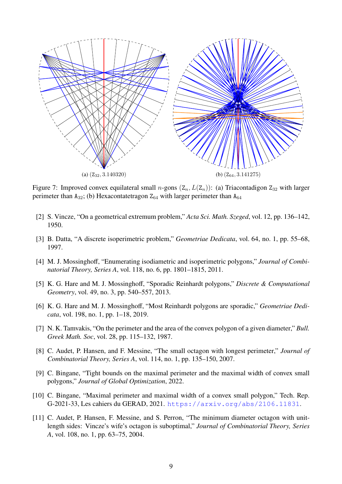<span id="page-8-9"></span>

<span id="page-8-10"></span>Figure 7: Improved convex equilateral small *n*-gons  $(Z_n, L(Z_n))$ : (a) Triacontadigon  $Z_{32}$  with larger perimeter than  $A_{32}$ ; (b) Hexacontatetragon  $Z_{64}$  with larger perimeter than  $A_{64}$ 

- <span id="page-8-1"></span><span id="page-8-0"></span>[2] S. Vincze, "On a geometrical extremum problem," *Acta Sci. Math. Szeged*, vol. 12, pp. 136–142, 1950.
- <span id="page-8-2"></span>[3] B. Datta, "A discrete isoperimetric problem," *Geometriae Dedicata*, vol. 64, no. 1, pp. 55–68, 1997.
- [4] M. J. Mossinghoff, "Enumerating isodiametric and isoperimetric polygons," *Journal of Combinatorial Theory, Series A*, vol. 118, no. 6, pp. 1801–1815, 2011.
- [5] K. G. Hare and M. J. Mossinghoff, "Sporadic Reinhardt polygons," *Discrete & Computational Geometry*, vol. 49, no. 3, pp. 540–557, 2013.
- <span id="page-8-3"></span>[6] K. G. Hare and M. J. Mossinghoff, "Most Reinhardt polygons are sporadic," *Geometriae Dedicata*, vol. 198, no. 1, pp. 1–18, 2019.
- <span id="page-8-4"></span>[7] N. K. Tamvakis, "On the perimeter and the area of the convex polygon of a given diameter," *Bull. Greek Math. Soc*, vol. 28, pp. 115–132, 1987.
- <span id="page-8-5"></span>[8] C. Audet, P. Hansen, and F. Messine, "The small octagon with longest perimeter," *Journal of Combinatorial Theory, Series A*, vol. 114, no. 1, pp. 135–150, 2007.
- <span id="page-8-6"></span>[9] C. Bingane, "Tight bounds on the maximal perimeter and the maximal width of convex small polygons," *Journal of Global Optimization*, 2022.
- <span id="page-8-7"></span>[10] C. Bingane, "Maximal perimeter and maximal width of a convex small polygon," Tech. Rep. G-2021-33, Les cahiers du GERAD, 2021. <https://arxiv.org/abs/2106.11831>.
- <span id="page-8-8"></span>[11] C. Audet, P. Hansen, F. Messine, and S. Perron, "The minimum diameter octagon with unitlength sides: Vincze's wife's octagon is suboptimal," *Journal of Combinatorial Theory, Series A*, vol. 108, no. 1, pp. 63–75, 2004.